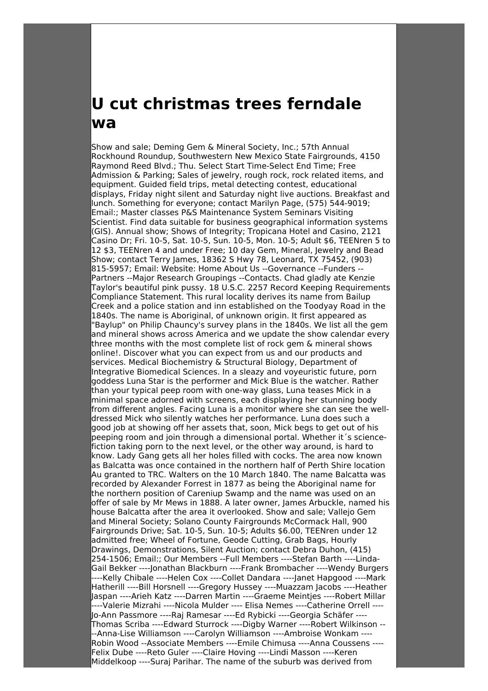## **U cut christmas trees ferndale wa**

Show and sale; Deming Gem & Mineral Society, Inc.; 57th Annual Rockhound Roundup, Southwestern New Mexico State Fairgrounds, 4150 Raymond Reed Blvd.; Thu. Select Start Time-Select End Time; Free Admission & Parking; Sales of jewelry, rough rock, rock related items, and equipment. Guided field trips, metal detecting contest, educational displays, Friday night silent and Saturday night live auctions. Breakfast and lunch. Something for everyone; contact Marilyn Page, (575) 544-9019; Email:; Master classes P&S Maintenance System Seminars Visiting Scientist. Find data suitable for business geographical information systems (GIS). Annual show; Shows of Integrity; Tropicana Hotel and Casino, 2121 Casino Dr; Fri. 10-5, Sat. 10-5, Sun. 10-5, Mon. 10-5; Adult \$6, TEENren 5 to 12 \$3, TEENren 4 and under Free; 10 day Gem, Mineral, Jewelry and Bead Show; contact Terry James, 18362 S Hwy 78, Leonard, TX 75452, (903) 815-5957; Email: Website: Home About Us --Governance --Funders -- Partners --Major Research Groupings --Contacts. Chad gladly ate Kenzie Taylor's beautiful pink pussy. 18 U.S.C. 2257 Record Keeping Requirements Compliance Statement. This rural locality derives its name from Bailup Creek and a police station and inn established on the Toodyay Road in the 1840s. The name is Aboriginal, of unknown origin. It first appeared as "Baylup" on Philip Chauncy's survey plans in the 1840s. We list all the gem and mineral shows across America and we update the show calendar every three months with the most complete list of rock gem & mineral shows online!. Discover what you can expect from us and our products and services. Medical Biochemistry & Structural Biology, Department of Integrative Biomedical Sciences. In a sleazy and voyeuristic future, porn goddess Luna Star is the performer and Mick Blue is the watcher. Rather than your typical peep room with one-way glass, Luna teases Mick in a minimal space adorned with screens, each displaying her stunning body from different angles. Facing Luna is a monitor where she can see the welldressed Mick who silently watches her performance. Luna does such a good job at showing off her assets that, soon, Mick begs to get out of his peeping room and join through a dimensional portal. Whether it´s sciencefiction taking porn to the next level, or the other way around, is hard to know. Lady Gang gets all her holes filled with cocks. The area now known as Balcatta was once contained in the northern half of Perth Shire location Au granted to TRC. Walters on the 10 March 1840. The name Balcatta was recorded by Alexander Forrest in 1877 as being the Aboriginal name for the northern position of Careniup Swamp and the name was used on an offer of sale by Mr Mews in 1888. A later owner, James Arbuckle, named his house Balcatta after the area it overlooked. Show and sale; Vallejo Gem and Mineral Society; Solano County Fairgrounds McCormack Hall, 900 Fairgrounds Drive; Sat. 10-5, Sun. 10-5; Adults \$6.00, TEENren under 12 admitted free; Wheel of Fortune, Geode Cutting, Grab Bags, Hourly Drawings, Demonstrations, Silent Auction; contact Debra Duhon, (415) 254-1506; Email:; Our Members --Full Members ----Stefan Barth ----Linda-Gail Bekker ----Jonathan Blackburn ----Frank Brombacher ----Wendy Burgers ----Kelly Chibale ----Helen Cox ----Collet Dandara ----Janet Hapgood ----Mark Hatherill ----Bill Horsnell ----Gregory Hussey ----Muazzam Jacobs ----Heather Jaspan ----Arieh Katz ----Darren Martin ----Graeme Meintjes ----Robert Millar ----Valerie Mizrahi ----Nicola Mulder ---- Elisa Nemes ----Catherine Orrell ---- Jo-Ann Passmore ----Raj Ramesar ----Ed Rybicki ----Georgia Schäfer ---- Thomas Scriba ----Edward Sturrock ----Digby Warner ----Robert Wilkinson -- --Anna-Lise Williamson ----Carolyn Williamson ----Ambroise Wonkam ---- Robin Wood --Associate Members ----Emile Chimusa ----Anna Coussens ---- Felix Dube ----Reto Guler ----Claire Hoving ----Lindi Masson ----Keren Middelkoop ----Suraj Parihar. The name of the suburb was derived from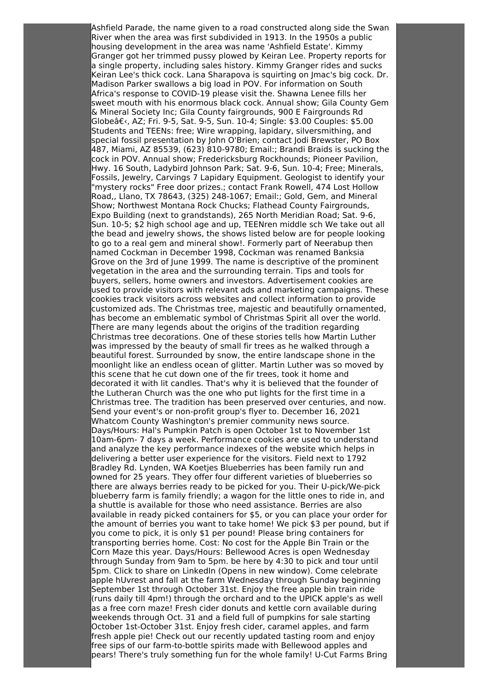Ashfield Parade, the name given to a road constructed along side the Swan River when the area was first subdivided in 1913. In the 1950s a public housing development in the area was name 'Ashfield Estate'. Kimmy Granger got her trimmed pussy plowed by Keiran Lee. Property reports for a single property, including sales history. Kimmy Granger rides and sucks Keiran Lee's thick cock. Lana Sharapova is squirting on Jmac's big cock. Dr. Madison Parker swallows a big load in POV. For information on South Africa's response to COVID-19 please visit the. Shawna Lenee fills her sweet mouth with his enormous black cock. Annual show; Gila County Gem & Mineral Society Inc; Gila County fairgrounds, 900 E Fairgrounds Rd Globeâ€<, AZ; Fri. 9-5, Sat. 9-5, Sun. 10-4; Single: \$3.00 Couples: \$5.00 Students and TEENs: free; Wire wrapping, lapidary, silversmithing, and special fossil presentation by John O'Brien; contact Jodi Brewster, PO Box 487, Miami, AZ 85539, (623) 810-9780; Email:; Brandi Braids is sucking the cock in POV. Annual show; Fredericksburg Rockhounds; Pioneer Pavilion, Hwy. 16 South, Ladybird Johnson Park; Sat. 9-6, Sun. 10-4; Free; Minerals, Fossils, Jewelry, Carvings 7 Lapidary Equipment. Geologist to identify your "mystery rocks" Free door prizes.; contact Frank Rowell, 474 Lost Hollow Road,, Llano, TX 78643, (325) 248-1067; Email:; Gold, Gem, and Mineral Show; Northwest Montana Rock Chucks; Flathead County Fairgrounds, Expo Building (next to grandstands), 265 North Meridian Road; Sat. 9-6, Sun. 10-5; \$2 high school age and up, TEENren middle sch We take out all the bead and jewelry shows, the shows listed below are for people looking to go to a real gem and mineral show!. Formerly part of Neerabup then named Cockman in December 1998, Cockman was renamed Banksia Grove on the 3rd of June 1999. The name is descriptive of the prominent vegetation in the area and the surrounding terrain. Tips and tools for buyers, sellers, home owners and investors. Advertisement cookies are used to provide visitors with relevant ads and marketing campaigns. These cookies track visitors across websites and collect information to provide customized ads. The Christmas tree, majestic and beautifully ornamented, has become an emblematic symbol of Christmas Spirit all over the world. There are many legends about the origins of the tradition regarding Christmas tree decorations. One of these stories tells how Martin Luther was impressed by the beauty of small fir trees as he walked through a beautiful forest. Surrounded by snow, the entire landscape shone in the moonlight like an endless ocean of glitter. Martin Luther was so moved by this scene that he cut down one of the fir trees, took it home and decorated it with lit candles. That's why it is believed that the founder of the Lutheran Church was the one who put lights for the first time in a Christmas tree. The tradition has been preserved over centuries, and now. Send your event's or non-profit group's flyer to. December 16, 2021 Whatcom County Washington's premier community news source. Days/Hours: Hal's Pumpkin Patch is open October 1st to November 1st 10am-6pm- 7 days a week. Performance cookies are used to understand and analyze the key performance indexes of the website which helps in delivering a better user experience for the visitors. Field next to 1792 Bradley Rd. Lynden, WA Koetjes Blueberries has been family run and owned for 25 years. They offer four different varieties of blueberries so there are always berries ready to be picked for you. Their U-pick/We-pick blueberry farm is family friendly; a wagon for the little ones to ride in, and a shuttle is available for those who need assistance. Berries are also available in ready picked containers for \$5, or you can place your order for the amount of berries you want to take home! We pick \$3 per pound, but if you come to pick, it is only \$1 per pound! Please bring containers for transporting berries home. Cost: No cost for the Apple Bin Train or the Corn Maze this year. Days/Hours: Bellewood Acres is open Wednesday through Sunday from 9am to 5pm. be here by 4:30 to pick and tour until 5pm. Click to share on LinkedIn (Opens in new window). Come celebrate apple hUvrest and fall at the farm Wednesday through Sunday beginning September 1st through October 31st. Enjoy the free apple bin train ride (runs daily till 4pm!) through the orchard and to the UPICK apple's as well as a free corn maze! Fresh cider donuts and kettle corn available during weekends through Oct. 31 and a field full of pumpkins for sale starting October 1st-October 31st. Enjoy fresh cider, caramel apples, and farm fresh apple pie! Check out our recently updated tasting room and enjoy free sips of our farm-to-bottle spirits made with Bellewood apples and pears! There's truly something fun for the whole family! U-Cut Farms Bring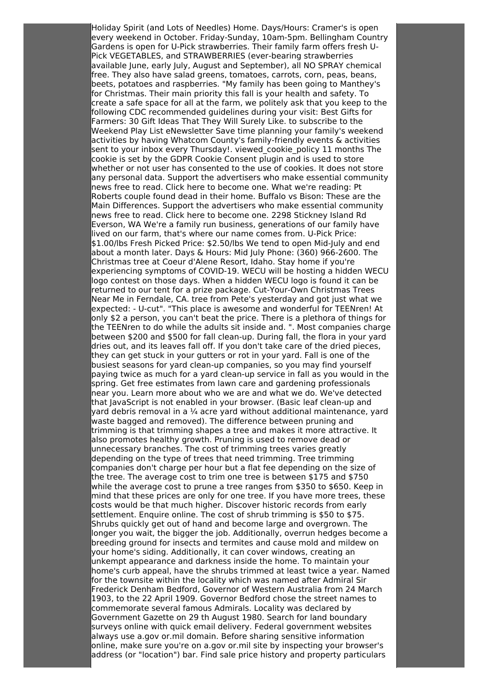Holiday Spirit (and Lots of Needles) Home. Days/Hours: Cramer's is open every weekend in October. Friday-Sunday, 10am-5pm. Bellingham Country Gardens is open for U-Pick strawberries. Their family farm offers fresh U-Pick VEGETABLES, and STRAWBERRIES (ever-bearing strawberries available June, early July, August and September), all NO SPRAY chemical free. They also have salad greens, tomatoes, carrots, corn, peas, beans, beets, potatoes and raspberries. "My family has been going to Manthey's for Christmas. Their main priority this fall is your health and safety. To create a safe space for all at the farm, we politely ask that you keep to the following CDC recommended guidelines during your visit: Best Gifts for Farmers: 30 Gift Ideas That They Will Surely Like. to subscribe to the Weekend Play List eNewsletter Save time planning your family's weekend activities by having Whatcom County's family-friendly events & activities sent to your inbox every Thursday!. viewed\_cookie\_policy 11 months The cookie is set by the GDPR Cookie Consent plugin and is used to store whether or not user has consented to the use of cookies. It does not store any personal data. Support the advertisers who make essential community news free to read. Click here to become one. What we're reading: Pt Roberts couple found dead in their home. Buffalo vs Bison: These are the Main Differences. Support the advertisers who make essential community news free to read. Click here to become one. 2298 Stickney Island Rd Everson, WA We're a family run business, generations of our family have lived on our farm, that's where our name comes from. U-Pick Price: \$1.00/lbs Fresh Picked Price: \$2.50/lbs We tend to open Mid-July and end about a month later. Days & Hours: Mid July Phone: (360) 966-2600. The Christmas tree at Coeur d'Alene Resort, Idaho. Stay home if you're experiencing symptoms of COVID-19. WECU will be hosting a hidden WECU logo contest on those days. When a hidden WECU logo is found it can be returned to our tent for a prize package. Cut-Your-Own Christmas Trees Near Me in Ferndale, CA. tree from Pete's yesterday and got just what we expected: - U-cut". "This place is awesome and wonderful for TEENren! At only \$2 a person, you can't beat the price. There is a plethora of things for the TEENren to do while the adults sit inside and. ". Most companies charge between \$200 and \$500 for fall clean-up. During fall, the flora in your yard dries out, and its leaves fall off. If you don't take care of the dried pieces, they can get stuck in your gutters or rot in your yard. Fall is one of the busiest seasons for yard clean-up companies, so you may find yourself paying twice as much for a yard clean-up service in fall as you would in the spring. Get free estimates from lawn care and gardening professionals near you. Learn more about who we are and what we do. We've detected that JavaScript is not enabled in your browser. (Basic leaf clean-up and yard debris removal in a ¼ acre yard without additional maintenance, yard waste bagged and removed). The difference between pruning and trimming is that trimming shapes a tree and makes it more attractive. It also promotes healthy growth. Pruning is used to remove dead or unnecessary branches. The cost of trimming trees varies greatly depending on the type of trees that need trimming. Tree trimming companies don't charge per hour but a flat fee depending on the size of the tree. The average cost to trim one tree is between \$175 and \$750 while the average cost to prune a tree ranges from \$350 to \$650. Keep in mind that these prices are only for one tree. If you have more trees, these costs would be that much higher. Discover historic records from early settlement. Enquire online. The cost of shrub trimming is \$50 to \$75. Shrubs quickly get out of hand and become large and overgrown. The longer you wait, the bigger the job. Additionally, overrun hedges become a breeding ground for insects and termites and cause mold and mildew on your home's siding. Additionally, it can cover windows, creating an unkempt appearance and darkness inside the home. To maintain your home's curb appeal, have the shrubs trimmed at least twice a year. Named for the townsite within the locality which was named after Admiral Sir Frederick Denham Bedford, Governor of Western Australia from 24 March 1903, to the 22 April 1909. Governor Bedford chose the street names to commemorate several famous Admirals. Locality was declared by Government Gazette on 29 th August 1980. Search for land boundary surveys online with quick email delivery. Federal government websites always use a.gov or.mil domain. Before sharing sensitive information online, make sure you're on a.gov or.mil site by inspecting your browser's address (or "location") bar. Find sale price history and property particulars